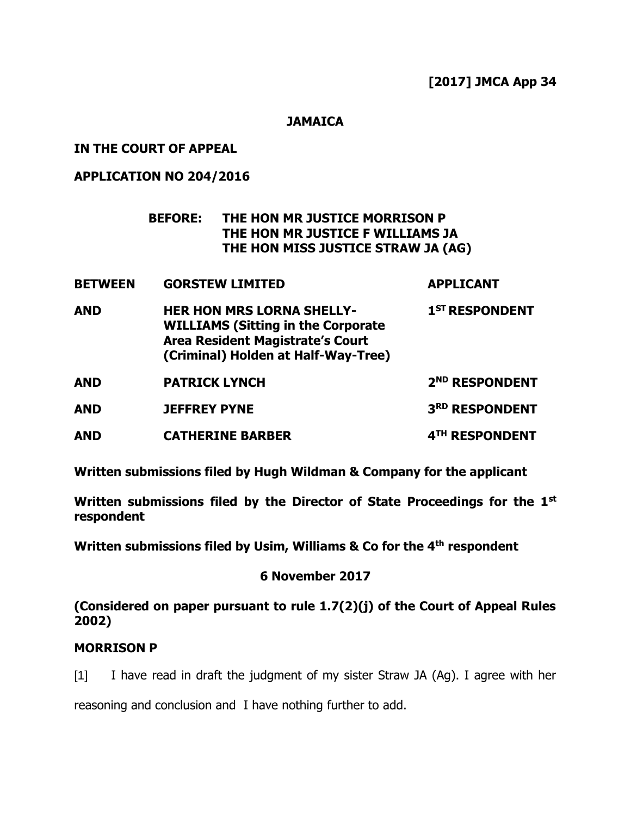**JAMAICA**

# **IN THE COURT OF APPEAL**

# **APPLICATION NO 204/2016**

# **BEFORE: THE HON MR JUSTICE MORRISON P THE HON MR JUSTICE F WILLIAMS JA THE HON MISS JUSTICE STRAW JA (AG)**

| <b>BETWEEN</b> | <b>GORSTEW LIMITED</b>                                                                                                                                          | <b>APPLICANT</b>           |
|----------------|-----------------------------------------------------------------------------------------------------------------------------------------------------------------|----------------------------|
| <b>AND</b>     | <b>HER HON MRS LORNA SHELLY-</b><br><b>WILLIAMS (Sitting in the Corporate</b><br><b>Area Resident Magistrate's Court</b><br>(Criminal) Holden at Half-Way-Tree) | 1 <sup>ST</sup> RESPONDENT |
| <b>AND</b>     | <b>PATRICK LYNCH</b>                                                                                                                                            | 2 <sup>ND</sup> RESPONDENT |
| <b>AND</b>     | <b>JEFFREY PYNE</b>                                                                                                                                             | 3RD RESPONDENT             |
| <b>AND</b>     | <b>CATHERINE BARBER</b>                                                                                                                                         | 4TH RESPONDENT             |

**Written submissions filed by Hugh Wildman & Company for the applicant**

**Written submissions filed by the Director of State Proceedings for the 1st respondent**

**Written submissions filed by Usim, Williams & Co for the 4th respondent**

# **6 November 2017**

**(Considered on paper pursuant to rule 1.7(2)(j) of the Court of Appeal Rules 2002)**

## **MORRISON P**

[1] I have read in draft the judgment of my sister Straw JA (Ag). I agree with her

reasoning and conclusion and I have nothing further to add.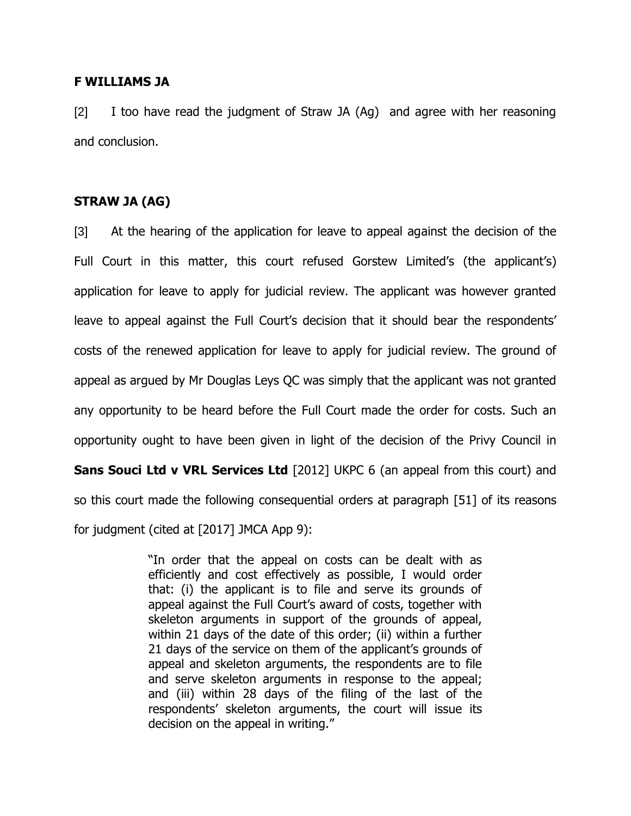#### **F WILLIAMS JA**

[2] I too have read the judgment of Straw JA (Ag) and agree with her reasoning and conclusion.

## **STRAW JA (AG)**

[3] At the hearing of the application for leave to appeal against the decision of the Full Court in this matter, this court refused Gorstew Limited's (the applicant's) application for leave to apply for judicial review. The applicant was however granted leave to appeal against the Full Court's decision that it should bear the respondents' costs of the renewed application for leave to apply for judicial review. The ground of appeal as argued by Mr Douglas Leys QC was simply that the applicant was not granted any opportunity to be heard before the Full Court made the order for costs. Such an opportunity ought to have been given in light of the decision of the Privy Council in **Sans Souci Ltd v VRL Services Ltd** [2012] UKPC 6 (an appeal from this court) and so this court made the following consequential orders at paragraph [51] of its reasons for judgment (cited at [2017] JMCA App 9):

> "In order that the appeal on costs can be dealt with as efficiently and cost effectively as possible, I would order that: (i) the applicant is to file and serve its grounds of appeal against the Full Court's award of costs, together with skeleton arguments in support of the grounds of appeal, within 21 days of the date of this order; (ii) within a further 21 days of the service on them of the applicant's grounds of appeal and skeleton arguments, the respondents are to file and serve skeleton arguments in response to the appeal; and (iii) within 28 days of the filing of the last of the respondents' skeleton arguments, the court will issue its decision on the appeal in writing."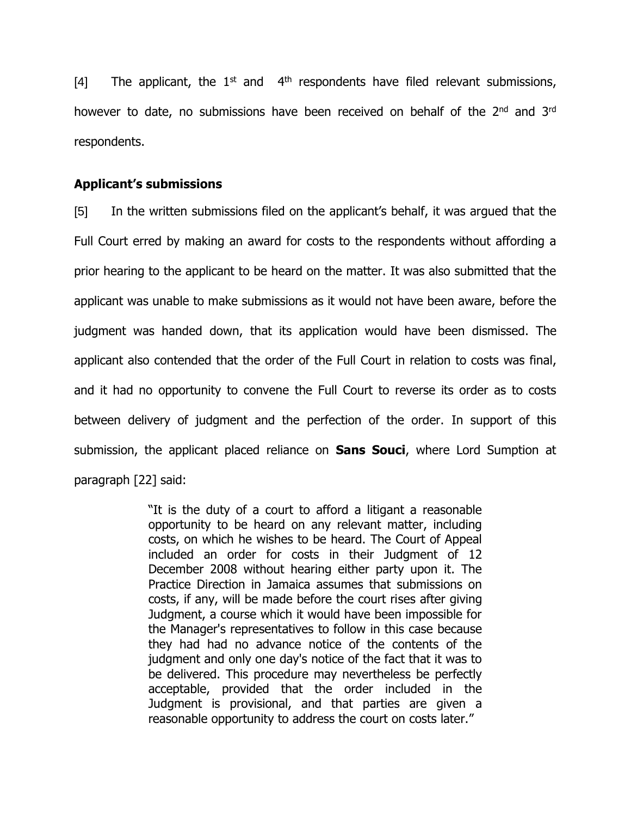[4] The applicant, the  $1<sup>st</sup>$  and  $4<sup>th</sup>$  respondents have filed relevant submissions, however to date, no submissions have been received on behalf of the 2<sup>nd</sup> and 3<sup>rd</sup> respondents.

#### **Applicant's submissions**

[5] In the written submissions filed on the applicant's behalf, it was argued that the Full Court erred by making an award for costs to the respondents without affording a prior hearing to the applicant to be heard on the matter. It was also submitted that the applicant was unable to make submissions as it would not have been aware, before the judgment was handed down, that its application would have been dismissed. The applicant also contended that the order of the Full Court in relation to costs was final, and it had no opportunity to convene the Full Court to reverse its order as to costs between delivery of judgment and the perfection of the order. In support of this submission, the applicant placed reliance on **Sans Souci**, where Lord Sumption at paragraph [22] said:

> "It is the duty of a court to afford a litigant a reasonable opportunity to be heard on any relevant matter, including costs, on which he wishes to be heard. The Court of Appeal included an order for costs in their Judgment of 12 December 2008 without hearing either party upon it. The Practice Direction in Jamaica assumes that submissions on costs, if any, will be made before the court rises after giving Judgment, a course which it would have been impossible for the Manager's representatives to follow in this case because they had had no advance notice of the contents of the judgment and only one day's notice of the fact that it was to be delivered. This procedure may nevertheless be perfectly acceptable, provided that the order included in the Judgment is provisional, and that parties are given a reasonable opportunity to address the court on costs later."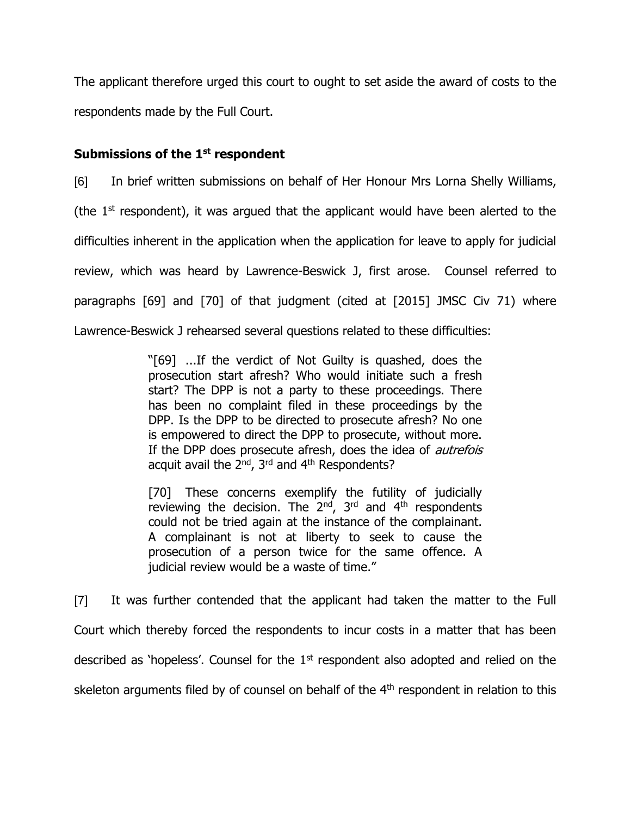The applicant therefore urged this court to ought to set aside the award of costs to the respondents made by the Full Court.

# **Submissions of the 1st respondent**

[6] In brief written submissions on behalf of Her Honour Mrs Lorna Shelly Williams, (the  $1<sup>st</sup>$  respondent), it was argued that the applicant would have been alerted to the difficulties inherent in the application when the application for leave to apply for judicial review, which was heard by Lawrence-Beswick J, first arose. Counsel referred to paragraphs [69] and [70] of that judgment (cited at [2015] JMSC Civ 71) where Lawrence-Beswick J rehearsed several questions related to these difficulties:

> "[69] ...If the verdict of Not Guilty is quashed, does the prosecution start afresh? Who would initiate such a fresh start? The DPP is not a party to these proceedings. There has been no complaint filed in these proceedings by the DPP. Is the DPP to be directed to prosecute afresh? No one is empowered to direct the DPP to prosecute, without more. If the DPP does prosecute afresh, does the idea of *autrefois* acquit avail the  $2^{nd}$ ,  $3^{rd}$  and  $4^{th}$  Respondents?

> [70] These concerns exemplify the futility of judicially reviewing the decision. The  $2^{nd}$ ,  $3^{rd}$  and  $4^{th}$  respondents could not be tried again at the instance of the complainant. A complainant is not at liberty to seek to cause the prosecution of a person twice for the same offence. A judicial review would be a waste of time."

[7] It was further contended that the applicant had taken the matter to the Full Court which thereby forced the respondents to incur costs in a matter that has been described as 'hopeless'. Counsel for the  $1<sup>st</sup>$  respondent also adopted and relied on the skeleton arguments filed by of counsel on behalf of the 4<sup>th</sup> respondent in relation to this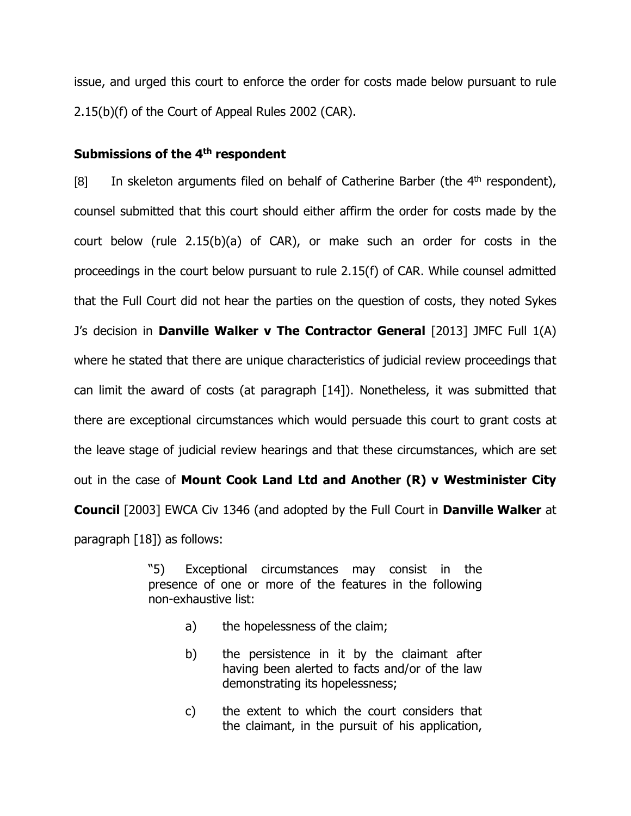issue, and urged this court to enforce the order for costs made below pursuant to rule 2.15(b)(f) of the Court of Appeal Rules 2002 (CAR).

## **Submissions of the 4th respondent**

[8] In skeleton arguments filed on behalf of Catherine Barber (the  $4<sup>th</sup>$  respondent), counsel submitted that this court should either affirm the order for costs made by the court below (rule 2.15(b)(a) of CAR), or make such an order for costs in the proceedings in the court below pursuant to rule 2.15(f) of CAR. While counsel admitted that the Full Court did not hear the parties on the question of costs, they noted Sykes J's decision in **Danville Walker v The Contractor General** [2013] JMFC Full 1(A) where he stated that there are unique characteristics of judicial review proceedings that can limit the award of costs (at paragraph [14]). Nonetheless, it was submitted that there are exceptional circumstances which would persuade this court to grant costs at the leave stage of judicial review hearings and that these circumstances, which are set out in the case of **Mount Cook Land Ltd and Another (R) v Westminister City Council** [2003] EWCA Civ 1346 (and adopted by the Full Court in **Danville Walker** at paragraph [18]) as follows:

> "5) Exceptional circumstances may consist in the presence of one or more of the features in the following non-exhaustive list:

- a) the hopelessness of the claim;
- b) the persistence in it by the claimant after having been alerted to facts and/or of the law demonstrating its hopelessness;
- c) the extent to which the court considers that the claimant, in the pursuit of his application,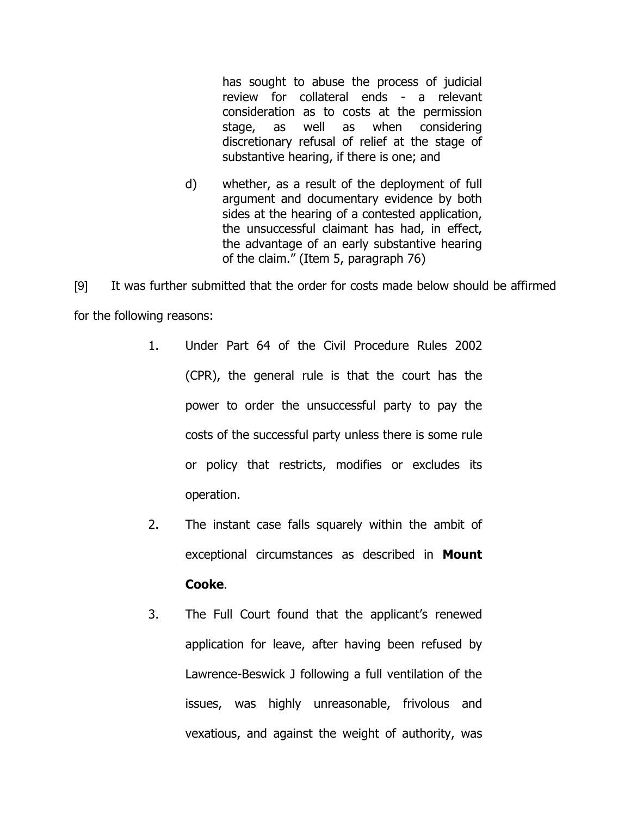has sought to abuse the process of judicial review for collateral ends - a relevant consideration as to costs at the permission stage, as well as when considering discretionary refusal of relief at the stage of substantive hearing, if there is one; and

d) whether, as a result of the deployment of full argument and documentary evidence by both sides at the hearing of a contested application, the unsuccessful claimant has had, in effect, the advantage of an early substantive hearing of the claim." (Item 5, paragraph 76)

[9] It was further submitted that the order for costs made below should be affirmed for the following reasons:

- 1. Under Part 64 of the Civil Procedure Rules 2002 (CPR), the general rule is that the court has the power to order the unsuccessful party to pay the costs of the successful party unless there is some rule or policy that restricts, modifies or excludes its operation.
- 2. The instant case falls squarely within the ambit of exceptional circumstances as described in **Mount Cooke**.
- 3. The Full Court found that the applicant's renewed application for leave, after having been refused by Lawrence-Beswick J following a full ventilation of the issues, was highly unreasonable, frivolous and vexatious, and against the weight of authority, was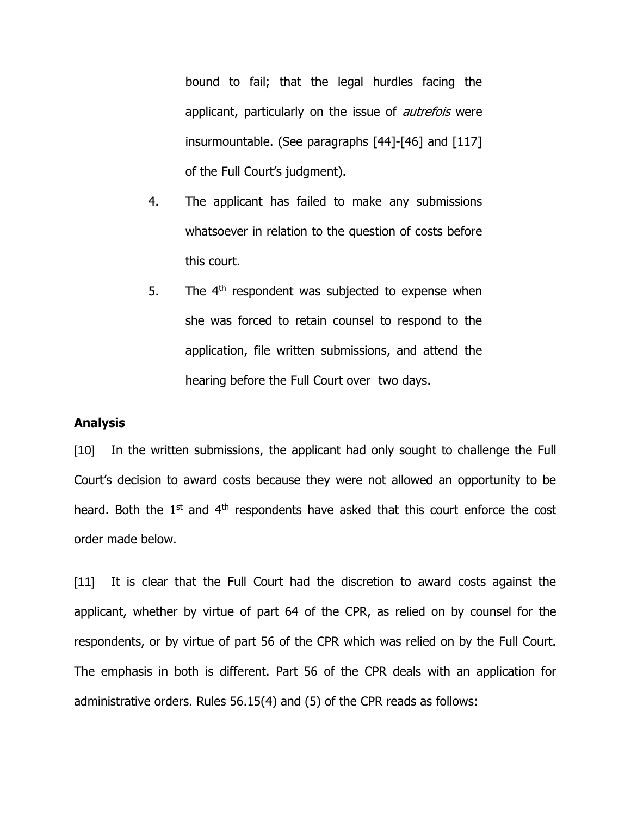bound to fail; that the legal hurdles facing the applicant, particularly on the issue of *autrefois* were insurmountable. (See paragraphs [44]-[46] and [117] of the Full Court's judgment).

- 4. The applicant has failed to make any submissions whatsoever in relation to the question of costs before this court.
- 5. The  $4<sup>th</sup>$  respondent was subjected to expense when she was forced to retain counsel to respond to the application, file written submissions, and attend the hearing before the Full Court over two days.

#### **Analysis**

[10] In the written submissions, the applicant had only sought to challenge the Full Court's decision to award costs because they were not allowed an opportunity to be heard. Both the  $1<sup>st</sup>$  and  $4<sup>th</sup>$  respondents have asked that this court enforce the cost order made below.

[11] It is clear that the Full Court had the discretion to award costs against the applicant, whether by virtue of part 64 of the CPR, as relied on by counsel for the respondents, or by virtue of part 56 of the CPR which was relied on by the Full Court. The emphasis in both is different. Part 56 of the CPR deals with an application for administrative orders. Rules 56.15(4) and (5) of the CPR reads as follows: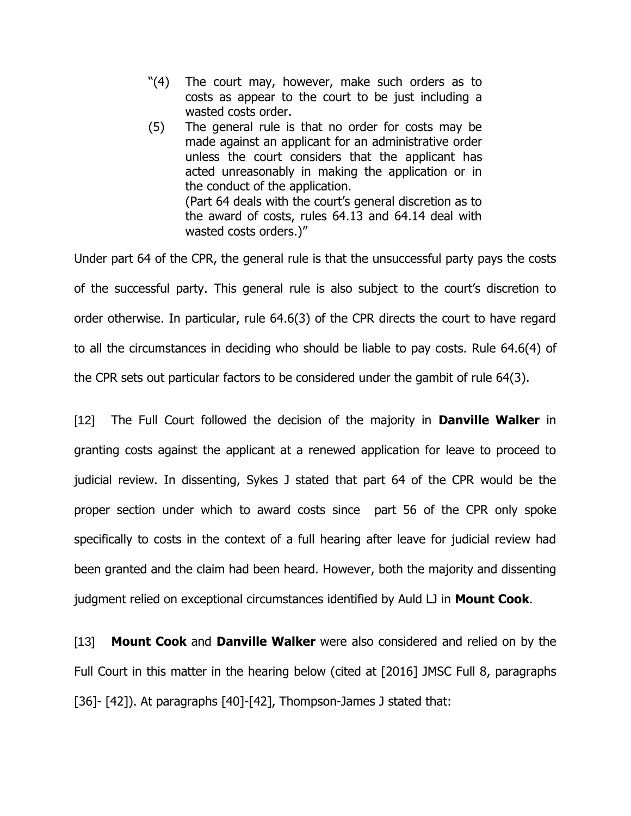- "(4) The court may, however, make such orders as to costs as appear to the court to be just including a wasted costs order.
- (5) The general rule is that no order for costs may be made against an applicant for an administrative order unless the court considers that the applicant has acted unreasonably in making the application or in the conduct of the application. (Part 64 deals with the court's general discretion as to the award of costs, rules 64.13 and 64.14 deal with wasted costs orders.)"

Under part 64 of the CPR, the general rule is that the unsuccessful party pays the costs of the successful party. This general rule is also subject to the court's discretion to order otherwise. In particular, rule 64.6(3) of the CPR directs the court to have regard to all the circumstances in deciding who should be liable to pay costs. Rule 64.6(4) of the CPR sets out particular factors to be considered under the gambit of rule 64(3).

[12] The Full Court followed the decision of the majority in **Danville Walker** in granting costs against the applicant at a renewed application for leave to proceed to judicial review. In dissenting, Sykes J stated that part 64 of the CPR would be the proper section under which to award costs since part 56 of the CPR only spoke specifically to costs in the context of a full hearing after leave for judicial review had been granted and the claim had been heard. However, both the majority and dissenting judgment relied on exceptional circumstances identified by Auld LJ in **Mount Cook**.

[13] **Mount Cook** and **Danville Walker** were also considered and relied on by the Full Court in this matter in the hearing below (cited at [2016] JMSC Full 8, paragraphs [36]- [42]). At paragraphs [40]-[42], Thompson-James J stated that: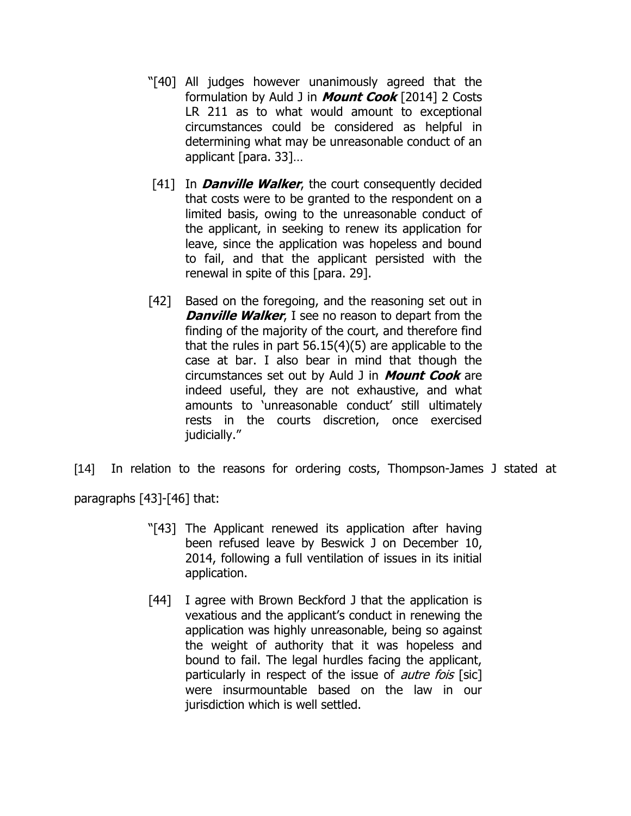- "[40] All judges however unanimously agreed that the formulation by Auld J in **Mount Cook** [2014] 2 Costs LR 211 as to what would amount to exceptional circumstances could be considered as helpful in determining what may be unreasonable conduct of an applicant [para. 33]…
- [41] In **Danville Walker**, the court consequently decided that costs were to be granted to the respondent on a limited basis, owing to the unreasonable conduct of the applicant, in seeking to renew its application for leave, since the application was hopeless and bound to fail, and that the applicant persisted with the renewal in spite of this [para. 29].
- [42] Based on the foregoing, and the reasoning set out in **Danville Walker**, I see no reason to depart from the finding of the majority of the court, and therefore find that the rules in part 56.15(4)(5) are applicable to the case at bar. I also bear in mind that though the circumstances set out by Auld J in **Mount Cook** are indeed useful, they are not exhaustive, and what amounts to 'unreasonable conduct' still ultimately rests in the courts discretion, once exercised judicially."
- [14] In relation to the reasons for ordering costs, Thompson-James J stated at

paragraphs [43]-[46] that:

- "[43] The Applicant renewed its application after having been refused leave by Beswick J on December 10, 2014, following a full ventilation of issues in its initial application.
- [44] I agree with Brown Beckford J that the application is vexatious and the applicant's conduct in renewing the application was highly unreasonable, being so against the weight of authority that it was hopeless and bound to fail. The legal hurdles facing the applicant, particularly in respect of the issue of *autre fois* [sic] were insurmountable based on the law in our jurisdiction which is well settled.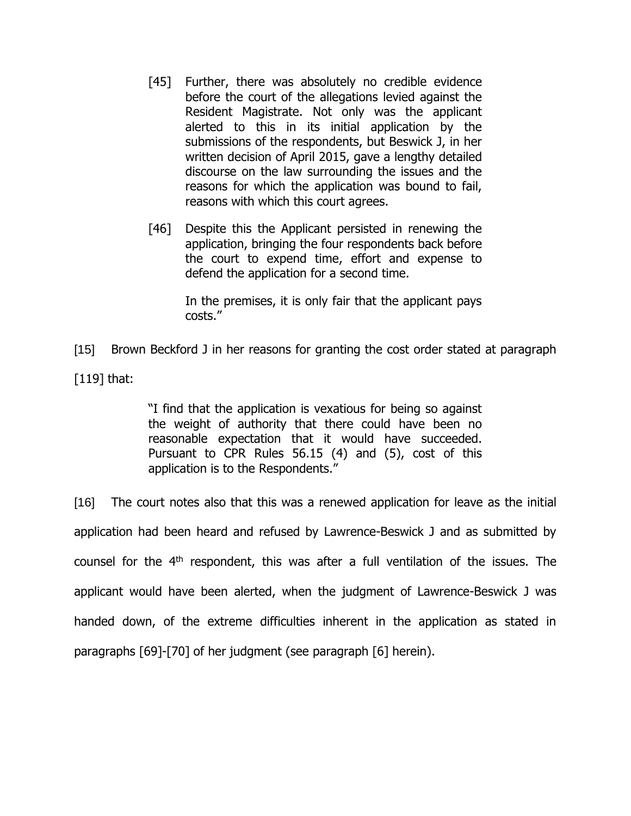- [45] Further, there was absolutely no credible evidence before the court of the allegations levied against the Resident Magistrate. Not only was the applicant alerted to this in its initial application by the submissions of the respondents, but Beswick J, in her written decision of April 2015, gave a lengthy detailed discourse on the law surrounding the issues and the reasons for which the application was bound to fail, reasons with which this court agrees.
- [46] Despite this the Applicant persisted in renewing the application, bringing the four respondents back before the court to expend time, effort and expense to defend the application for a second time.

In the premises, it is only fair that the applicant pays costs."

[15] Brown Beckford J in her reasons for granting the cost order stated at paragraph  $[119]$  that:

> "I find that the application is vexatious for being so against the weight of authority that there could have been no reasonable expectation that it would have succeeded. Pursuant to CPR Rules 56.15 (4) and (5), cost of this application is to the Respondents."

[16] The court notes also that this was a renewed application for leave as the initial application had been heard and refused by Lawrence-Beswick J and as submitted by counsel for the  $4<sup>th</sup>$  respondent, this was after a full ventilation of the issues. The applicant would have been alerted, when the judgment of Lawrence-Beswick J was handed down, of the extreme difficulties inherent in the application as stated in paragraphs [69]-[70] of her judgment (see paragraph [6] herein).